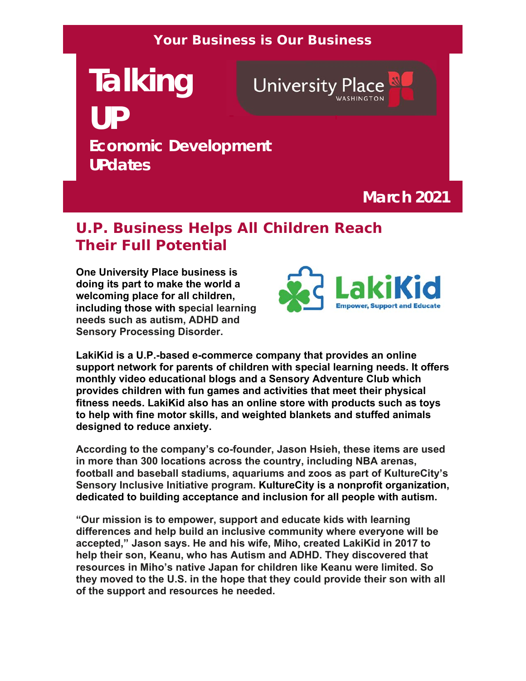#### **Your Business is Our Business**

# **Talking University Place UP Economic Development UPdates**

**March 2021**

# **U.P. Business Helps All Children Reach Their Full Potential**

**One University Place business is doing its part to make the world a welcoming place for all children, including those with special learning needs such as autism, ADHD and Sensory Processing Disorder.** 



**LakiKid is a U.P.-based e-commerce company that provides an online support network for parents of children with special learning needs. It offers monthly video educational blogs and a Sensory Adventure Club which provides children with fun games and activities that meet their physical fitness needs. LakiKid also has an online store with products such as toys to help with fine motor skills, and weighted blankets and stuffed animals designed to reduce anxiety.** 

**According to the company's co-founder, Jason Hsieh, these items are used in more than 300 locations across the country, including NBA arenas, football and baseball stadiums, aquariums and zoos as part of KultureCity's Sensory Inclusive Initiative program. KultureCity is a nonprofit organization, dedicated to building acceptance and inclusion for all people with autism.**

**"Our mission is to empower, support and educate kids with learning differences and help build an inclusive community where everyone will be accepted," Jason says. He and his wife, Miho, created LakiKid in 2017 to help their son, Keanu, who has Autism and ADHD. They discovered that resources in Miho's native Japan for children like Keanu were limited. So they moved to the U.S. in the hope that they could provide their son with all of the support and resources he needed.**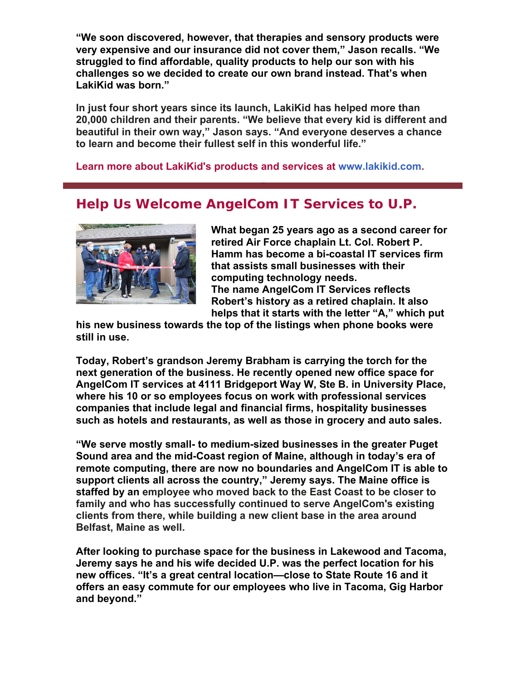**"We soon discovered, however, that therapies and sensory products were very expensive and our insurance did not cover them," Jason recalls. "We struggled to find affordable, quality products to help our son with his challenges so we decided to create our own brand instead. That's when LakiKid was born."**

**In just four short years since its launch, LakiKid has helped more than 20,000 children and their parents. "We believe that every kid is different and beautiful in their own way," Jason says. "And everyone deserves a chance to learn and become their fullest self in this wonderful life."**

**Learn more about LakiKid's products and services at www.lakikid.com.** 

### **Help Us Welcome AngelCom IT Services to U.P.**



**What began 25 years ago as a second career for retired Air Force chaplain Lt. Col. Robert P. Hamm has become a bi-coastal IT services firm that assists small businesses with their computing technology needs. The name AngelCom IT Services reflects Robert's history as a retired chaplain. It also helps that it starts with the letter "A," which put** 

**his new business towards the top of the listings when phone books were still in use.**

**Today, Robert's grandson Jeremy Brabham is carrying the torch for the next generation of the business. He recently opened new office space for AngelCom IT services at 4111 Bridgeport Way W, Ste B. in University Place, where his 10 or so employees focus on work with professional services companies that include legal and financial firms, hospitality businesses such as hotels and restaurants, as well as those in grocery and auto sales.** 

**"We serve mostly small- to medium-sized businesses in the greater Puget Sound area and the mid-Coast region of Maine, although in today's era of remote computing, there are now no boundaries and AngelCom IT is able to support clients all across the country," Jeremy says. The Maine office is staffed by an employee who moved back to the East Coast to be closer to family and who has successfully continued to serve AngelCom's existing clients from there, while building a new client base in the area around Belfast, Maine as well.**

**After looking to purchase space for the business in Lakewood and Tacoma, Jeremy says he and his wife decided U.P. was the perfect location for his new offices. "It's a great central location—close to State Route 16 and it offers an easy commute for our employees who live in Tacoma, Gig Harbor and beyond."**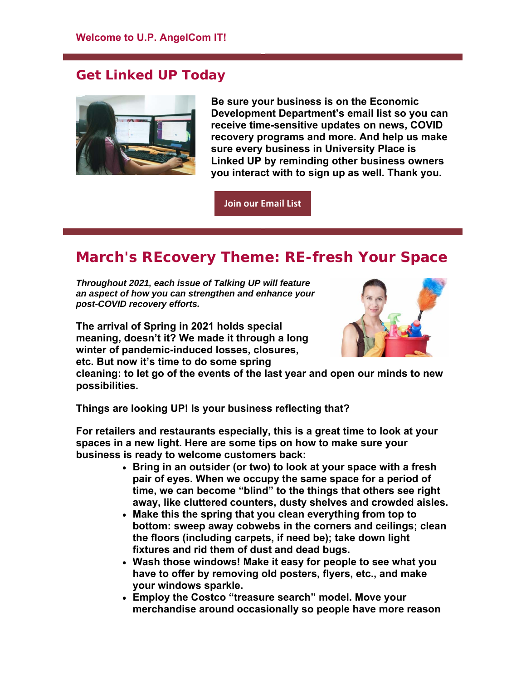#### **Get Linked UP Today**



**Be sure your business is on the Economic Development Department's email list so you can receive time-sensitive updates on news, COVID recovery programs and more. And help us make sure every business in University Place is Linked UP by reminding other business owners you interact with to sign up as well. Thank you.**

**Join our Email List**

## **March's REcovery Theme: RE-fresh Your Space**

*Throughout 2021, each issue of Talking UP will feature an aspect of how you can strengthen and enhance your post-COVID recovery efforts.* 

**The arrival of Spring in 2021 holds special meaning, doesn't it? We made it through a long winter of pandemic-induced losses, closures, etc. But now it's time to do some spring** 



**cleaning: to let go of the events of the last year and open our minds to new possibilities.** 

**Things are looking UP! Is your business reflecting that?**

**For retailers and restaurants especially, this is a great time to look at your spaces in a new light. Here are some tips on how to make sure your business is ready to welcome customers back:**

- **Bring in an outsider (or two) to look at your space with a fresh pair of eyes. When we occupy the same space for a period of time, we can become "blind" to the things that others see right away, like cluttered counters, dusty shelves and crowded aisles.**
- **Make this the spring that you clean everything from top to bottom: sweep away cobwebs in the corners and ceilings; clean the floors (including carpets, if need be); take down light fixtures and rid them of dust and dead bugs.**
- **Wash those windows! Make it easy for people to see what you have to offer by removing old posters, flyers, etc., and make your windows sparkle.**
- **Employ the Costco "treasure search" model. Move your merchandise around occasionally so people have more reason**